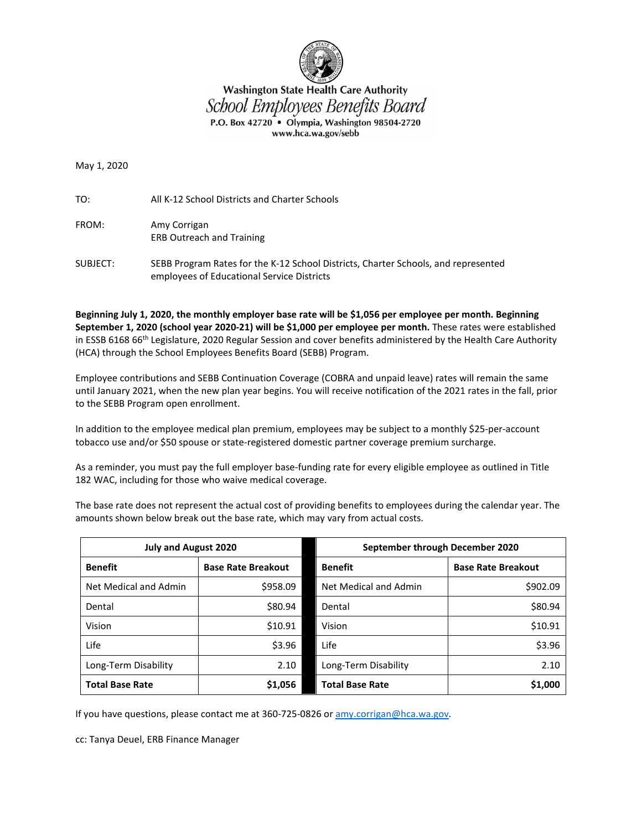

## **Washington State Health Care Authority** School Employees Benefits Board P.O. Box 42720 · Olympia, Washington 98504-2720 www.hca.wa.gov/sebb

May 1, 2020

TO: All K-12 School Districts and Charter Schools

- FROM: Amy Corrigan ERB Outreach and Training
- SUBJECT: SEBB Program Rates for the K-12 School Districts, Charter Schools, and represented employees of Educational Service Districts

**Beginning July 1, 2020, the monthly employer base rate will be \$1,056 per employee per month. Beginning September 1, 2020 (school year 2020-21) will be \$1,000 per employee per month.** These rates were established in ESSB 6168 66<sup>th</sup> Legislature, 2020 Regular Session and cover benefits administered by the Health Care Authority (HCA) through the School Employees Benefits Board (SEBB) Program.

Employee contributions and SEBB Continuation Coverage (COBRA and unpaid leave) rates will remain the same until January 2021, when the new plan year begins. You will receive notification of the 2021 rates in the fall, prior to the SEBB Program open enrollment.

In addition to the employee medical plan premium, employees may be subject to a monthly \$25-per-account tobacco use and/or \$50 spouse or state-registered domestic partner coverage premium surcharge.

As a reminder, you must pay the full employer base-funding rate for every eligible employee as outlined in Title 182 WAC, including for those who waive medical coverage.

The base rate does not represent the actual cost of providing benefits to employees during the calendar year. The amounts shown below break out the base rate, which may vary from actual costs.

| <b>July and August 2020</b> |                           | September through December 2020 |                           |  |  |
|-----------------------------|---------------------------|---------------------------------|---------------------------|--|--|
| <b>Benefit</b>              | <b>Base Rate Breakout</b> | <b>Benefit</b>                  | <b>Base Rate Breakout</b> |  |  |
| Net Medical and Admin       | \$958.09                  | Net Medical and Admin           | \$902.09                  |  |  |
| Dental                      | \$80.94                   | Dental                          | \$80.94                   |  |  |
| Vision                      | \$10.91                   | Vision                          | \$10.91                   |  |  |
| Life                        | \$3.96                    | Life                            | \$3.96                    |  |  |
| Long-Term Disability        | 2.10                      | Long-Term Disability            | 2.10                      |  |  |
| <b>Total Base Rate</b>      | \$1,056                   | <b>Total Base Rate</b>          | \$1,000                   |  |  |

If you have questions, please contact me at 360-725-0826 or [amy.corrigan@hca.wa.gov.](mailto:amy.corrigan@hca.wa.gov)

cc: Tanya Deuel, ERB Finance Manager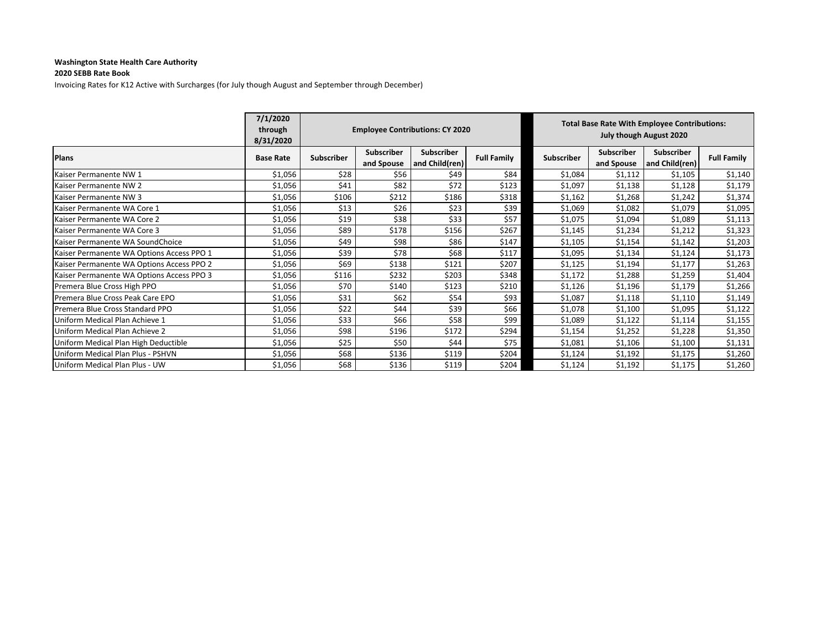## **Washington State Health Care Authority**

## **2020 SEBB Rate Book**

Invoicing Rates for K12 Active with Surcharges (for July though August and September through December)

|                                           | 7/1/2020<br>through<br>8/31/2020 | <b>Employee Contributions: CY 2020</b> |                                 |                                     | <b>Total Base Rate With Employee Contributions:</b><br>July though August 2020 |                   |                                 |                              |                    |
|-------------------------------------------|----------------------------------|----------------------------------------|---------------------------------|-------------------------------------|--------------------------------------------------------------------------------|-------------------|---------------------------------|------------------------------|--------------------|
| <b>Plans</b>                              | <b>Base Rate</b>                 | Subscriber                             | <b>Subscriber</b><br>and Spouse | <b>Subscriber</b><br>and Child(ren) | <b>Full Family</b>                                                             | <b>Subscriber</b> | <b>Subscriber</b><br>and Spouse | Subscriber<br>and Child(ren) | <b>Full Family</b> |
| Kaiser Permanente NW 1                    | \$1,056                          | \$28                                   | \$56                            | \$49                                | \$84                                                                           | \$1,084           | \$1,112                         | \$1,105                      | \$1,140            |
| Kaiser Permanente NW 2                    | \$1,056                          | \$41                                   | \$82                            | \$72                                | \$123                                                                          | \$1,097           | \$1,138                         | \$1,128                      | \$1,179            |
| Kaiser Permanente NW 3                    | \$1,056                          | \$106                                  | \$212                           | \$186                               | \$318                                                                          | \$1,162           | \$1,268                         | \$1,242                      | \$1,374            |
| Kaiser Permanente WA Core 1               | \$1,056                          | \$13                                   | \$26                            | \$23                                | \$39                                                                           | \$1,069           | \$1,082                         | \$1,079                      | \$1,095            |
| Kaiser Permanente WA Core 2               | \$1,056                          | \$19                                   | \$38                            | \$33                                | \$57                                                                           | \$1,075           | \$1,094                         | \$1,089                      | \$1,113            |
| Kaiser Permanente WA Core 3               | \$1,056                          | \$89                                   | \$178                           | \$156                               | \$267                                                                          | \$1,145           | \$1,234                         | \$1,212                      | \$1,323            |
| Kaiser Permanente WA SoundChoice          | \$1,056                          | \$49                                   | \$98                            | \$86                                | \$147                                                                          | \$1,105           | \$1,154                         | \$1,142                      | \$1,203            |
| Kaiser Permanente WA Options Access PPO 1 | \$1,056                          | \$39                                   | \$78                            | \$68                                | \$117                                                                          | \$1,095           | \$1,134                         | \$1,124                      | \$1,173            |
| Kaiser Permanente WA Options Access PPO 2 | \$1,056                          | \$69                                   | \$138                           | \$121                               | \$207                                                                          | \$1,125           | \$1,194                         | \$1,177                      | \$1,263            |
| Kaiser Permanente WA Options Access PPO 3 | \$1,056                          | \$116                                  | \$232                           | \$203                               | \$348                                                                          | \$1,172           | \$1,288                         | \$1,259                      | \$1,404            |
| Premera Blue Cross High PPO               | \$1,056                          | \$70                                   | \$140                           | \$123                               | \$210                                                                          | \$1,126           | \$1,196                         | \$1,179                      | \$1,266            |
| Premera Blue Cross Peak Care EPO          | \$1,056                          | \$31                                   | \$62                            | \$54                                | \$93                                                                           | \$1,087           | \$1,118                         | \$1,110                      | \$1,149            |
| Premera Blue Cross Standard PPO           | \$1,056                          | \$22                                   | \$44                            | \$39                                | \$66                                                                           | \$1,078           | \$1,100                         | \$1,095                      | \$1,122            |
| Uniform Medical Plan Achieve 1            | \$1,056                          | \$33                                   | \$66                            | \$58                                | \$99                                                                           | \$1,089           | \$1,122                         | \$1,114                      | \$1,155            |
| Uniform Medical Plan Achieve 2            | \$1,056                          | \$98                                   | \$196                           | \$172                               | \$294                                                                          | \$1,154           | \$1,252                         | \$1,228                      | \$1,350            |
| Uniform Medical Plan High Deductible      | \$1,056                          | \$25                                   | \$50                            | \$44                                | \$75                                                                           | \$1,081           | \$1,106                         | \$1,100                      | \$1,131            |
| Uniform Medical Plan Plus - PSHVN         | \$1,056                          | \$68                                   | \$136                           | \$119                               | \$204                                                                          | \$1,124           | \$1,192                         | \$1,175                      | \$1,260            |
| Uniform Medical Plan Plus - UW            | \$1,056                          | \$68                                   | \$136                           | \$119                               | \$204                                                                          | \$1,124           | \$1,192                         | \$1,175                      | \$1,260            |